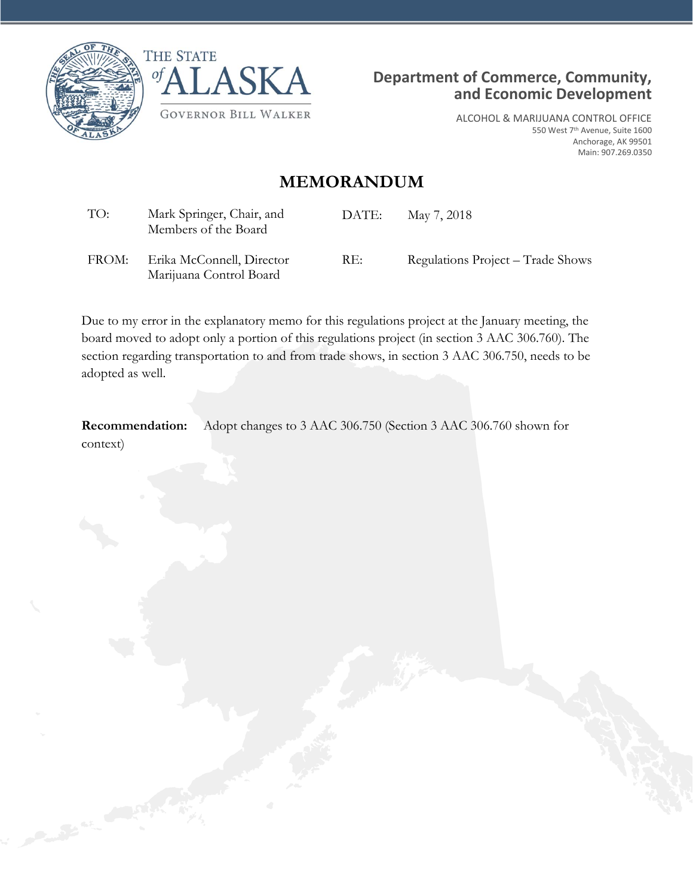



Marijuana Control Board



ALCOHOL & MARIJUANA CONTROL OFFICE 550 West 7th Avenue, Suite 1600 Anchorage, AK 99501 Main: 907.269.0350

## **MEMORANDUM**

| TO: | Mark Springer, Chair, and<br>Members of the Board | DATE: | May 7, 2018                       |
|-----|---------------------------------------------------|-------|-----------------------------------|
|     | FROM: Erika McConnell, Director                   | RE:   | Regulations Project – Trade Shows |

Due to my error in the explanatory memo for this regulations project at the January meeting, the board moved to adopt only a portion of this regulations project (in section 3 AAC 306.760). The section regarding transportation to and from trade shows, in section 3 AAC 306.750, needs to be adopted as well.

**Recommendation:** Adopt changes to 3 AAC 306.750 (Section 3 AAC 306.760 shown for context)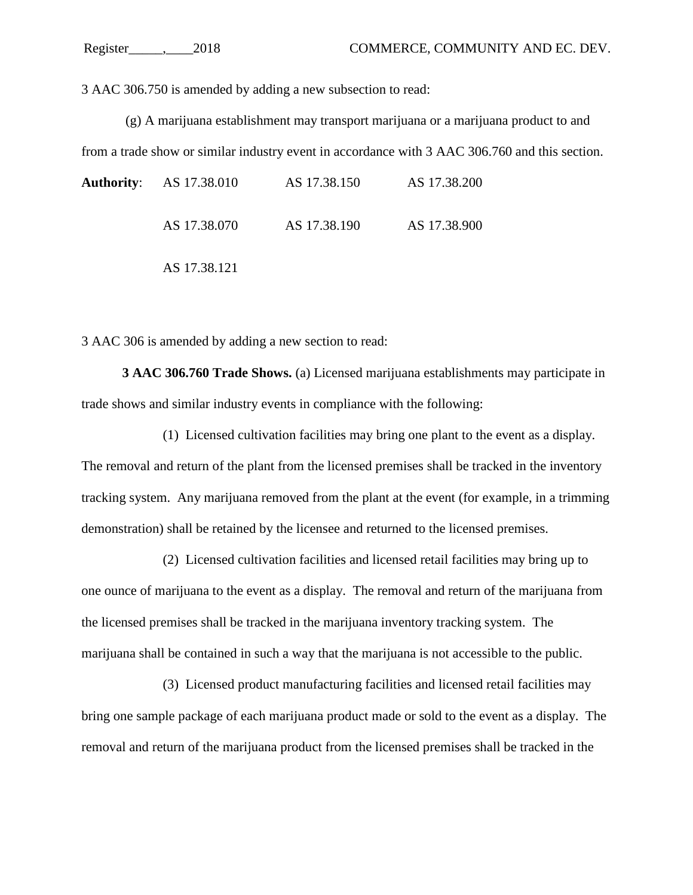3 AAC 306.750 is amended by adding a new subsection to read:

(g) A marijuana establishment may transport marijuana or a marijuana product to and from a trade show or similar industry event in accordance with 3 AAC 306.760 and this section.

| <b>Authority:</b> AS 17.38.010 | AS 17.38.150 | AS 17.38.200 |
|--------------------------------|--------------|--------------|
| AS 17.38.070                   | AS 17.38.190 | AS 17.38.900 |
| AS 17.38.121                   |              |              |

3 AAC 306 is amended by adding a new section to read:

**3 AAC 306.760 Trade Shows.** (a) Licensed marijuana establishments may participate in trade shows and similar industry events in compliance with the following:

(1) Licensed cultivation facilities may bring one plant to the event as a display. The removal and return of the plant from the licensed premises shall be tracked in the inventory tracking system. Any marijuana removed from the plant at the event (for example, in a trimming demonstration) shall be retained by the licensee and returned to the licensed premises.

(2) Licensed cultivation facilities and licensed retail facilities may bring up to one ounce of marijuana to the event as a display. The removal and return of the marijuana from the licensed premises shall be tracked in the marijuana inventory tracking system. The marijuana shall be contained in such a way that the marijuana is not accessible to the public.

(3) Licensed product manufacturing facilities and licensed retail facilities may bring one sample package of each marijuana product made or sold to the event as a display. The removal and return of the marijuana product from the licensed premises shall be tracked in the